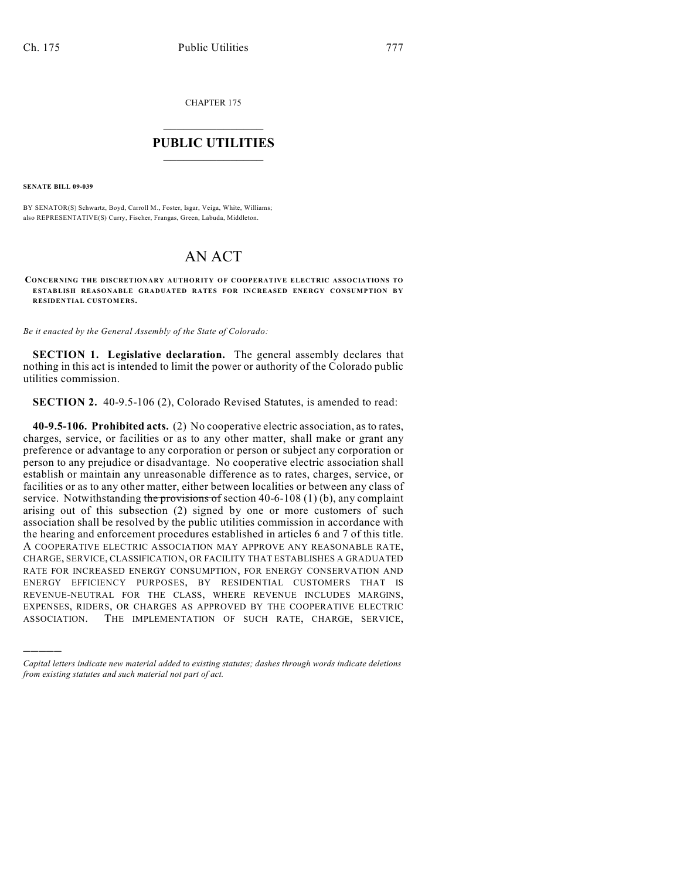CHAPTER 175

## $\overline{\phantom{a}}$  . The set of the set of the set of the set of the set of the set of the set of the set of the set of the set of the set of the set of the set of the set of the set of the set of the set of the set of the set o **PUBLIC UTILITIES** \_\_\_\_\_\_\_\_\_\_\_\_\_\_\_

**SENATE BILL 09-039**

)))))

BY SENATOR(S) Schwartz, Boyd, Carroll M., Foster, Isgar, Veiga, White, Williams; also REPRESENTATIVE(S) Curry, Fischer, Frangas, Green, Labuda, Middleton.

## AN ACT

**CONCERNING THE DISCRETIONARY AUTHORITY OF COOPERATIVE ELECTRIC ASSOCIATIONS TO ESTABLISH REASONABLE GRADUATED RATES FOR INCREASED ENERGY CONSUMPTION BY RESIDENTIAL CUSTOMERS.**

*Be it enacted by the General Assembly of the State of Colorado:*

**SECTION 1. Legislative declaration.** The general assembly declares that nothing in this act is intended to limit the power or authority of the Colorado public utilities commission.

**SECTION 2.** 40-9.5-106 (2), Colorado Revised Statutes, is amended to read:

**40-9.5-106. Prohibited acts.** (2) No cooperative electric association, as to rates, charges, service, or facilities or as to any other matter, shall make or grant any preference or advantage to any corporation or person or subject any corporation or person to any prejudice or disadvantage. No cooperative electric association shall establish or maintain any unreasonable difference as to rates, charges, service, or facilities or as to any other matter, either between localities or between any class of service. Notwithstanding the provisions of section  $40-6-108(1)(b)$ , any complaint arising out of this subsection (2) signed by one or more customers of such association shall be resolved by the public utilities commission in accordance with the hearing and enforcement procedures established in articles 6 and 7 of this title. A COOPERATIVE ELECTRIC ASSOCIATION MAY APPROVE ANY REASONABLE RATE, CHARGE, SERVICE, CLASSIFICATION, OR FACILITY THAT ESTABLISHES A GRADUATED RATE FOR INCREASED ENERGY CONSUMPTION, FOR ENERGY CONSERVATION AND ENERGY EFFICIENCY PURPOSES, BY RESIDENTIAL CUSTOMERS THAT IS REVENUE-NEUTRAL FOR THE CLASS, WHERE REVENUE INCLUDES MARGINS, EXPENSES, RIDERS, OR CHARGES AS APPROVED BY THE COOPERATIVE ELECTRIC ASSOCIATION. THE IMPLEMENTATION OF SUCH RATE, CHARGE, SERVICE,

*Capital letters indicate new material added to existing statutes; dashes through words indicate deletions from existing statutes and such material not part of act.*